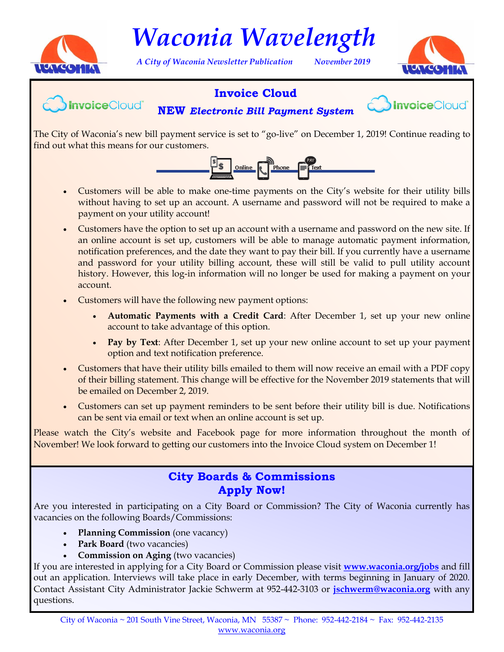

*Waconia Wavelength*

*A City of Waconia Newsletter Publication November 2019*



## **Invoice Cloud**



**NEW** *Electronic Bill Payment System*



The City of Waconia's new bill payment service is set to "go-live" on December 1, 2019! Continue reading to find out what this means for our customers.



- Customers will be able to make one-time payments on the City's website for their utility bills without having to set up an account. A username and password will not be required to make a payment on your utility account!
- Customers have the option to set up an account with a username and password on the new site. If an online account is set up, customers will be able to manage automatic payment information, notification preferences, and the date they want to pay their bill. If you currently have a username and password for your utility billing account, these will still be valid to pull utility account history. However, this log-in information will no longer be used for making a payment on your account.
- Customers will have the following new payment options:
	- **Automatic Payments with a Credit Card**: After December 1, set up your new online account to take advantage of this option.
	- **Pay by Text**: After December 1, set up your new online account to set up your payment option and text notification preference.
- Customers that have their utility bills emailed to them will now receive an email with a PDF copy of their billing statement. This change will be effective for the November 2019 statements that will be emailed on December 2, 2019.
- Customers can set up payment reminders to be sent before their utility bill is due. Notifications can be sent via email or text when an online account is set up.

Please watch the City's website and Facebook page for more information throughout the month of November! We look forward to getting our customers into the Invoice Cloud system on December 1!

# **City Boards & Commissions Apply Now!**

Are you interested in participating on a City Board or Commission? The City of Waconia currently has vacancies on the following Boards/Commissions:

- **Planning Commission** (one vacancy)
- Park Board (two vacancies)
- **Commission on Aging** (two vacancies)

If you are interested in applying for a City Board or Commission please visit **<www.waconia.org/jobs>** and fill out an application. Interviews will take place in early December, with terms beginning in January of 2020. Contact Assistant City Administrator Jackie Schwerm at 952-442-3103 or **[jschwerm@waconia.org](mailto: jschwerm@waconia.org)** with any questions.